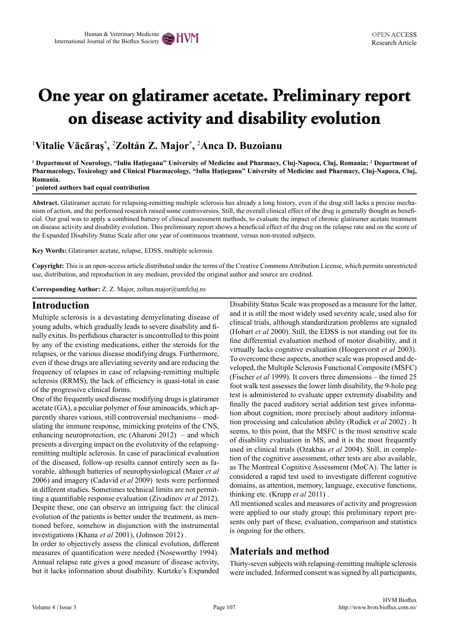# **One year on glatiramer acetate. Preliminary report on disease activity and disability evolution**

1 **Vitalie Văcăraş\* ,**  2 **Zoltán Z. Major\* ,**  2 **Anca D. Buzoianu**

<sup>1</sup> Department of Neurology, "Iuliu Hațieganu" University of Medicine and Pharmacy, Cluj-Napoca, Cluj, Romania; <sup>2</sup> Department of **Pharmacology, Toxicology and Clinical Pharmacology, "Iuliu Haţieganu" University of Medicine and Pharmacy, Cluj-Napoca, Cluj, Romania.** 

**\* pointed authors had equal contribution**

**Abstract.** Glatiramer acetate for relapsing-remitting multiple sclerosis has already a long history, even if the drug still lacks a precise mechanism of action, and the performed research raised some controversies. Still, the overall clinical effect of the drug is generally thought as beneficial. Our goal was to apply a combined battery of clinical assessment methods, to evaluate the impact of chronic glatiramer acetate treatment on disease activity and disability evolution. This preliminary report shows a beneficial effect of the drug on the relapse rate and on the score of the Expanded Disability Status Scale after one year of continuous treatment, versus non-treated subjects.

**Key Words:** Glatiramer acetate, relapse, EDSS, multiple sclerosis.

**Copyright:** This is an open-access article distributed under the terms of the Creative Commons Attribution License, which permits unrestricted use, distribution, and reproduction in any medium, provided the original author and source are credited.

**Corresponding Author:** Z. Z. Major, zoltan.major@umfcluj.ro

#### **Introduction**

Multiple sclerosis is a devastating demyelinating disease of young adults, which gradually leads to severe disability and finally exitus. Its perfidious character is uncontrolled to this point by any of the existing medications, either the steroids for the relapses, or the various disease modifying drugs. Furthermore, even if these drugs are alleviating severity and are reducing the frequency of relapses in case of relapsing-remitting multiple sclerosis (RRMS), the lack of efficiency is quasi-total in case of the progressive clinical forms.

One of the frequently used disease modifying drugs is glatiramer acetate (GA), a peculiar polymer of four aminoacids, which apparently shares various, still controversial mechanisms – modulating the immune response, mimicking proteins of the CNS, enhancing neuroprotection, etc (Aharoni 2012) – and which presents a diverging impact on the evolutivity of the relapsingremitting multiple sclerosis. In case of paraclinical evaluation of the diseased, follow-up results cannot entirely seen as favorable, although batteries of neurophysiological (Maier *et al* 2006) and imagery (Cadavid *et al* 2009) tests were performed in different studies. Sometimes technical limits are not permitting a quantifiable response evaluation (Zivadinov *et al* 2012). Despite these, one can observe an intriguing fact: the clinical evolution of the patients is better under the treatment, as mentioned before, somehow in disjunction with the instrumental investigations (Khana *et al* 2001), (Johnson 2012) .

In order to objectively assess the clinical evolution, different measures of quantification were needed (Noseworthy 1994). Annual relapse rate gives a good measure of disease activity, but it lacks information about disability. Kurtzke's Expanded Disability Status Scale was proposed as a measure for the latter, and it is still the most widely used severity scale, used also for clinical trials, although standardization problems are signaled (Hobart *et al* 2000). Still, the EDSS is not standing out for its fine differential evaluation method of motor disability, and it virtually lacks cognitive evaluation (Hoogervorst *et al* 2003). To overcome these aspects, another scale was proposed and developed, the Multiple Sclerosis Functional Composite (MSFC) (Fischer *et al* 1999). It covers three dimensions – the timed 25 foot walk test assesses the lower limb disability, the 9-hole peg test is administered to evaluate upper extremity disability and finally the paced auditory serial addition test gives information about cognition, more precisely about auditory information processing and calculation ability (Rudick *et al* 2002) . It seems, to this point, that the MSFC is the most sensitive scale of disability evaluation in MS, and it is the most frequently used in clinical trials (Ozakbas *et al* 2004). Still, in completion of the cognitive assessment, other tests are also available, as The Montreal Cognitive Assessment (MoCA). The latter is considered a rapid test used to investigate different cognitive domains, as attention, memory, language, executive functions, thinking etc. (Krupp *et al* 2011) .

All mentioned scales and measures of activity and progression were applied to our study group; this preliminary report presents only part of these, evaluation, comparison and statistics is ongoing for the others.

## **Materials and method**

Thirty-seven subjects with relapsing-remitting multiple sclerosis were included. Informed consent was signed by all participants,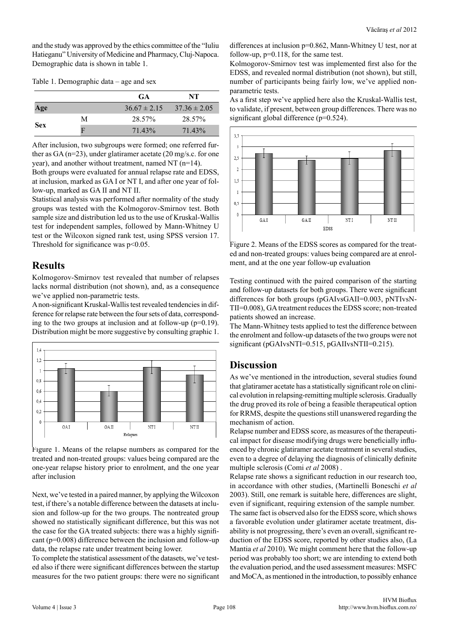and the study was approved by the ethics committee of the "Iuliu Hatieganu" University of Medicine and Pharmacy, Cluj-Napoca. Demographic data is shown in table 1.

|  |  | Table 1. Demographic data - age and sex |  |  |  |
|--|--|-----------------------------------------|--|--|--|
|--|--|-----------------------------------------|--|--|--|

|            |   | <b>GA</b>        | NT               |
|------------|---|------------------|------------------|
| Age        |   | $36.67 \pm 2.15$ | $37.36 \pm 2.05$ |
| <b>Sex</b> | М | 28.57%           | 28.57%           |
|            | E | 71.43%           | 71.43%           |

After inclusion, two subgroups were formed; one referred further as GA (n=23), under glatiramer acetate (20 mg/s.c. for one year), and another without treatment, named NT (n=14).

Both groups were evaluated for annual relapse rate and EDSS, at inclusion, marked as GA I or NT I, and after one year of follow-up, marked as GA II and NT II.

Statistical analysis was performed after normality of the study groups was tested with the Kolmogorov-Smirnov test. Both sample size and distribution led us to the use of Kruskal-Wallis test for independent samples, followed by Mann-Whitney U test or the Wilcoxon signed rank test, using SPSS version 17. Threshold for significance was  $p<0.05$ .

## **Results**

Kolmogorov-Smirnov test revealed that number of relapses lacks normal distribution (not shown), and, as a consequence we've applied non-parametric tests.

A non-significant Kruskal-Wallis test revealed tendencies in difference for relapse rate between the four sets of data, corresponding to the two groups at inclusion and at follow-up  $(p=0.19)$ . Distribution might be more suggestive by consulting graphic 1.



Figure 1. Means of the relapse numbers as compared for the treated and non-treated groups: values being compared are the one-year relapse history prior to enrolment, and the one year after inclusion

Next, we've tested in a paired manner, by applying the Wilcoxon test, if there's a notable difference between the datasets at inclusion and follow-up for the two groups. The nontreated group showed no statistically significant difference, but this was not the case for the GA treated subjects: there was a highly significant (p=0.008) difference between the inclusion and follow-up data, the relapse rate under treatment being lower.

To complete the statistical assessment of the datasets, we've tested also if there were significant differences between the startup measures for the two patient groups: there were no significant differences at inclusion p=0.862, Mann-Whitney U test, nor at follow-up, p=0.118, for the same test.

Kolmogorov-Smirnov test was implemented first also for the EDSS, and revealed normal distribution (not shown), but still, number of participants being fairly low, we've applied nonparametric tests.

As a first step we've applied here also the Kruskal-Wallis test, to validate, if present, between group differences. There was no significant global difference (p=0.524).



Figure 2. Means of the EDSS scores as compared for the treated and non-treated groups: values being compared are at enrolment, and at the one year follow-up evaluation

Testing continued with the paired comparison of the starting and follow-up datasets for both groups. There were significant differences for both groups (pGAIvsGAII=0.003, pNTIvsN-TII=0.008), GA treatment reduces the EDSS score; non-treated patients showed an increase.

The Mann-Whitney tests applied to test the difference between the enrolment and follow-up datasets of the two groups were not significant (pGAIvsNTI=0.515, pGAIIvsNTII=0.215).

## **Discussion**

As we've mentioned in the introduction, several studies found that glatiramer acetate has a statistically significant role on clinical evolution in relapsing-remitting multiple sclerosis. Gradually the drug proved its role of being a feasible therapeutical option for RRMS, despite the questions still unanswered regarding the mechanism of action.

Relapse number and EDSS score, as measures of the therapeutical impact for disease modifying drugs were beneficially influenced by chronic glatiramer acetate treatment in several studies, even to a degree of delaying the diagnosis of clinically definite multiple sclerosis (Comi *et al* 2008) .

Relapse rate shows a significant reduction in our research too, in accordance with other studies, (Martinelli Boneschi *et al*  2003). Still, one remark is suitable here, differences are slight, even if significant, requiring extension of the sample number. The same fact is observed also for the EDSS score, which shows a favorable evolution under glatiramer acetate treatment, disability is not progressing, there's even an overall, significant reduction of the EDSS score, reported by other studies also, (La Mantia *et al* 2010). We might comment here that the follow-up period was probably too short; we are intending to extend both the evaluation period, and the used assessment measures: MSFC and MoCA, as mentioned in the introduction, to possibly enhance